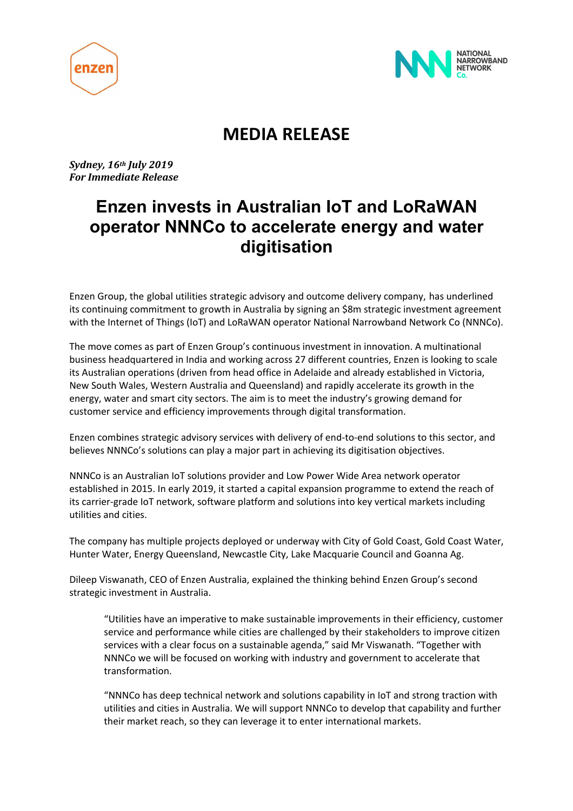



# **MEDIA RELEASE**

*Sydney, 16th July 2019 For Immediate Release*

# **Enzen invests in Australian IoT and LoRaWAN operator NNNCo to accelerate energy and water digitisation**

Enzen Group, the global utilities strategic advisory and outcome delivery company, has underlined its continuing commitment to growth in Australia by signing an \$8m strategic investment agreement with the Internet of Things (IoT) and LoRaWAN operator National Narrowband Network Co (NNNCo).

The move comes as part of Enzen Group's continuous investment in innovation. A multinational business headquartered in India and working across 27 different countries, Enzen is looking to scale its Australian operations (driven from head office in Adelaide and already established in Victoria, New South Wales, Western Australia and Queensland) and rapidly accelerate its growth in the energy, water and smart city sectors. The aim is to meet the industry's growing demand for customer service and efficiency improvements through digital transformation.

Enzen combines strategic advisory services with delivery of end-to-end solutions to this sector, and believes NNNCo's solutions can play a major part in achieving its digitisation objectives.

NNNCo is an Australian IoT solutions provider and Low Power Wide Area network operator established in 2015. In early 2019, it started a capital expansion programme to extend the reach of its carrier-grade IoT network, software platform and solutions into key vertical markets including utilities and cities.

The company has multiple projects deployed or underway with City of Gold Coast, Gold Coast Water, Hunter Water, Energy Queensland, Newcastle City, Lake Macquarie Council and Goanna Ag.

Dileep Viswanath, CEO of Enzen Australia, explained the thinking behind Enzen Group's second strategic investment in Australia.

"Utilities have an imperative to make sustainable improvements in their efficiency, customer service and performance while cities are challenged by their stakeholders to improve citizen services with a clear focus on a sustainable agenda," said Mr Viswanath. "Together with NNNCo we will be focused on working with industry and government to accelerate that transformation.

"NNNCo has deep technical network and solutions capability in IoT and strong traction with utilities and cities in Australia. We will support NNNCo to develop that capability and further their market reach, so they can leverage it to enter international markets.